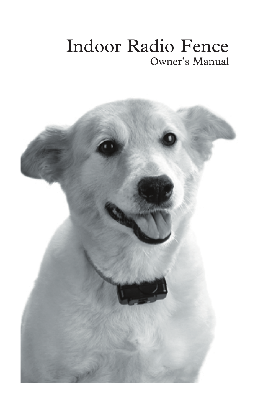# Indoor Radio Fence Owner's Manual

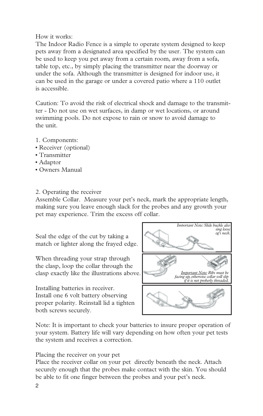How it works:

The Indoor Radio Fence is a simple to operate system designed to keep pets away from a designated area specified by the user. The system can be used to keep you pet away from a certain room, away from a sofa, table top, etc., by simply placing the transmitter near the doorway or under the sofa. Although the transmitter is designed for indoor use, it can be used in the garage or under a covered patio where a 110 outlet is accessible.

Caution: To avoid the risk of electrical shock and damage to the transmitter - Do not use on wet surfaces, in damp or wet locations, or around swimming pools. Do not expose to rain or snow to avoid damage to the unit.

- 1. Components:
- Receiver (optional)
- Transmitter
- Adaptor
- Owners Manual

## 2. Operating the receiver

Assemble Collar. Measure your pet's neck, mark the appropriate length, making sure you leave enough slack for the probes and any growth your pet may experience. Trim the excess off collar.

Seal the edge of the cut by taking a match or lighter along the frayed edge.

When threading your strap through the clasp, loop the collar through the clasp exactly like the illustrations above.

Installing batteries in receiver. Install one 6 volt battery observing proper polarity. Reinstall lid a tighten both screws securely.



Note: It is important to check your batteries to insure proper operation of your system. Battery life will vary depending on how often your pet tests the system and receives a correction.

Placing the receiver on your pet

Place the receiver collar on your pet directly beneath the neck. Attach securely enough that the probes make contact with the skin. You should be able to fit one finger between the probes and your pet's neck.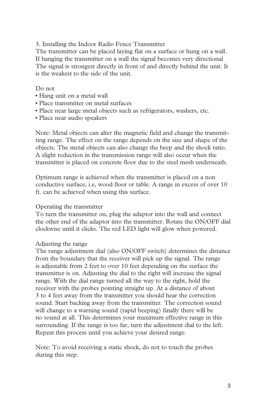3. Installing the Indoor Radio Fence Transmitter

The transmitter can be placed laying flat on a surface or hung on a wall. If hanging the transmitter on a wall the signal becomes very directional The signal is strongest directly in front of and directly behind the unit. It is the weakest to the side of the unit.

#### Do not

- Hang unit on a metal wall
- Place transmitter on metal surfaces
- Place near large metal objects such as refrigerators, washers, etc.
- Place near audio speakers

Note: Metal objects can alter the magnetic field and change the transmitting range. The effect on the range depends on the size and shape of the objects. The metal objects can also change the beep and the shock ratio. A slight reduction in the transmission range will also occur when the transmitter is placed on concrete floor due to the steel mesh underneath.

Optimum range is achieved when the transmitter is placed on a non conductive surface, i.e, wood floor or table. A range in excess of over 10 ft. can be achieved when using this surface.

#### Operating the transmitter

To turn the transmitter on, plug the adaptor into the wall and connect the other end of the adaptor into the transmitter. Rotate the ON/OFF dial clockwise until it clicks. The red LED light will glow when powered.

### Adjusting the range

The range adjustment dial (also ON/OFF switch) determines the distance from the boundary that the receiver will pick up the signal. The range is adjustable from 2 feet to over 10 feet depending on the surface the transmitter is on. Adjusting the dial to the right will increase the signal range. With the dial range turned all the way to the right, hold the receiver with the probes pointing straight up. At a distance of about 3 to 4 feet away from the transmitter you should hear the correction sound. Start backing away from the transmitter. The correction sound will change to a warning sound (rapid beeping) finally there will be no sound at all. This determines your maximum effective range in this surrounding. If the range is too far, turn the adjustment dial to the left. Repeat this process until you achieve your desired range.

Note: To avoid receiving a static shock, do not to touch the probes during this step.